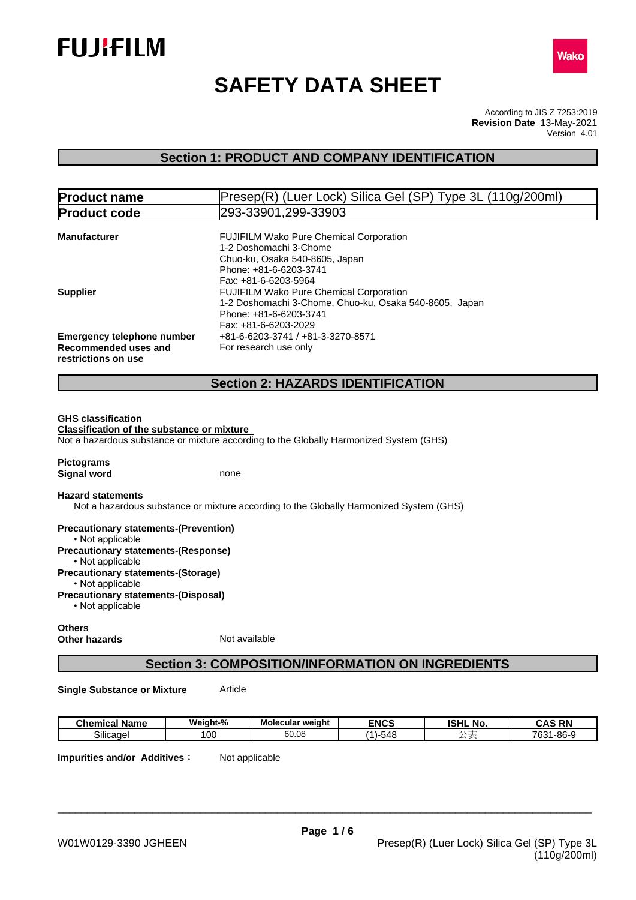



# **SAFETY DATA SHEET**

According to JIS Z 7253:2019 Version 4.01 **Revision Date** 13-May-2021

# **Section 1: PRODUCT AND COMPANY IDENTIFICATION**

| <b>Product name</b>                                                    | Presep(R) (Luer Lock) Silica Gel (SP) Type 3L (110g/200ml)                             |  |  |
|------------------------------------------------------------------------|----------------------------------------------------------------------------------------|--|--|
| <b>Product code</b>                                                    | 293-33901,299-33903                                                                    |  |  |
|                                                                        |                                                                                        |  |  |
| <b>Manufacturer</b>                                                    | <b>FUJIFILM Wako Pure Chemical Corporation</b>                                         |  |  |
|                                                                        | 1-2 Doshomachi 3-Chome                                                                 |  |  |
|                                                                        | Chuo-ku, Osaka 540-8605, Japan                                                         |  |  |
|                                                                        | Phone: +81-6-6203-3741                                                                 |  |  |
|                                                                        | Fax: +81-6-6203-5964                                                                   |  |  |
| <b>Supplier</b>                                                        | <b>FUJIFILM Wako Pure Chemical Corporation</b>                                         |  |  |
|                                                                        | 1-2 Doshomachi 3-Chome, Chuo-ku, Osaka 540-8605, Japan                                 |  |  |
|                                                                        | Phone: +81-6-6203-3741                                                                 |  |  |
|                                                                        | Fax: +81-6-6203-2029                                                                   |  |  |
| <b>Emergency telephone number</b><br>+81-6-6203-3741 / +81-3-3270-8571 |                                                                                        |  |  |
| Recommended uses and<br>For research use only                          |                                                                                        |  |  |
| restrictions on use                                                    |                                                                                        |  |  |
|                                                                        |                                                                                        |  |  |
|                                                                        | <b>Section 2: HAZARDS IDENTIFICATION</b>                                               |  |  |
|                                                                        |                                                                                        |  |  |
|                                                                        |                                                                                        |  |  |
| <b>GHS classification</b>                                              |                                                                                        |  |  |
| <b>Classification of the substance or mixture</b>                      |                                                                                        |  |  |
|                                                                        | Not a hazardous substance or mixture according to the Globally Harmonized System (GHS) |  |  |
| <b>Pictograms</b>                                                      |                                                                                        |  |  |
| <b>Signal word</b>                                                     | none                                                                                   |  |  |
|                                                                        |                                                                                        |  |  |
| <b>Hazard statements</b>                                               |                                                                                        |  |  |
|                                                                        | Not a hazardous substance or mixture according to the Globally Harmonized System (GHS) |  |  |

**Precautionary statements-(Prevention)** • Not applicable **Precautionary statements-(Response)** • Not applicable **Precautionary statements-(Storage)** • Not applicable **Precautionary statements-(Disposal)**  $\cdot$  Not applicable

### **Others Other hazards** Not available

# **Section 3: COMPOSITION/INFORMATION ON INGREDIENTS**

**Single Substance or Mixture** Article

| - -<br>Chemical Name             | ۰.<br>$\cdot$ $\cdot$<br>Weight-% | Molecular weight | <b>ENCS</b>                                     | юш<br>.NO<br>שמו | $- - -$<br>אסי<br>л<br>unu<br>-- |
|----------------------------------|-----------------------------------|------------------|-------------------------------------------------|------------------|----------------------------------|
| $\sim \cdots$<br>Silicage<br>. . | . vu                              | .005<br>vv.vc    | $\overline{\phantom{a}}$<br>- -<br>.54<br>- 540 |                  | 700<br>9-86-،<br>. .<br>ັບປ      |

**Impurities and/or Additives:** Not applicable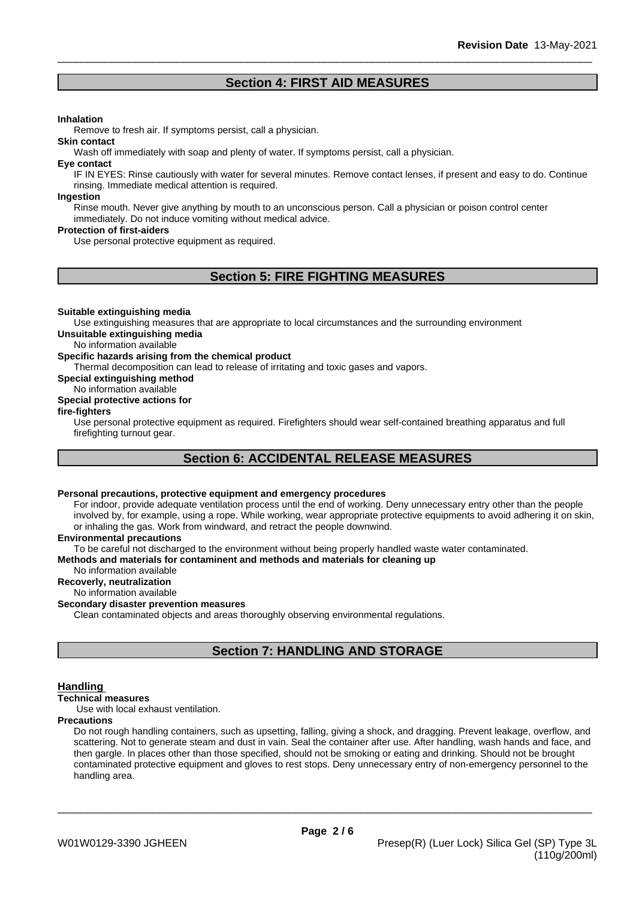# **Section 4: FIRST AID MEASURES**

# **Inhalation**

Remove to fresh air. If symptoms persist, call a physician.

Wash off immediately with soap and plenty of water. If symptoms persist, call a physician.

#### **Eye contact**

**Skin contact**

IF IN EYES: Rinse cautiously with water for several minutes. Remove contact lenses, if present and easy to do. Continue rinsing. Immediate medical attention is required.

#### **Ingestion**

Rinse mouth. Never give anything by mouth to an unconscious person. Call a physician or poison control center immediately. Do not induce vomiting without medical advice.

# **Protection of first-aiders**

Use personal protective equipment as required.

# **Section 5: FIRE FIGHTING MEASURES**

#### **Suitable extinguishing media**

Use extinguishing measures that are appropriate to local circumstances and the surrounding environment **Unsuitable extinguishing media**

No information available

### **Specific hazards arising from the chemical product**

Thermal decomposition can lead to release of irritating and toxic gases and vapors.

**Special extinguishing method**

### No information available

# **Special protective actions for**

# **fire-fighters**

Use personal protective equipment as required.Firefighters should wear self-contained breathing apparatus and full firefighting turnout gear.

# **Section 6: ACCIDENTAL RELEASE MEASURES**

### **Personal precautions, protective equipment and emergency procedures**

For indoor, provide adequate ventilation process until the end of working. Deny unnecessary entry other than the people involved by, for example, using a rope. While working, wear appropriate protective equipments to avoid adhering it on skin, or inhaling the gas. Work from windward, and retract the people downwind.

### **Environmental precautions**

To be careful not discharged to the environment without being properly handled waste water contaminated.

#### **Methods and materials for contaminent and methods and materials for cleaning up**

No information available

# **Recoverly, neutralization**

#### No information available **Secondary disaster prevention measures**

Clean contaminated objects and areas thoroughly observing environmental regulations.

# **Section 7: HANDLING AND STORAGE**

### **Handling**

**Technical measures**

Use with local exhaust ventilation.

# **Precautions**

Do not rough handling containers, such as upsetting, falling, giving a shock, and dragging. Prevent leakage, overflow, and scattering. Not to generate steam and dust in vain. Seal the container after use. After handling, wash hands and face, and then gargle. In places other than those specified, should not be smoking or eating and drinking. Should not be brought contaminated protective equipment and gloves to rest stops. Deny unnecessary entry of non-emergency personnel to the handling area.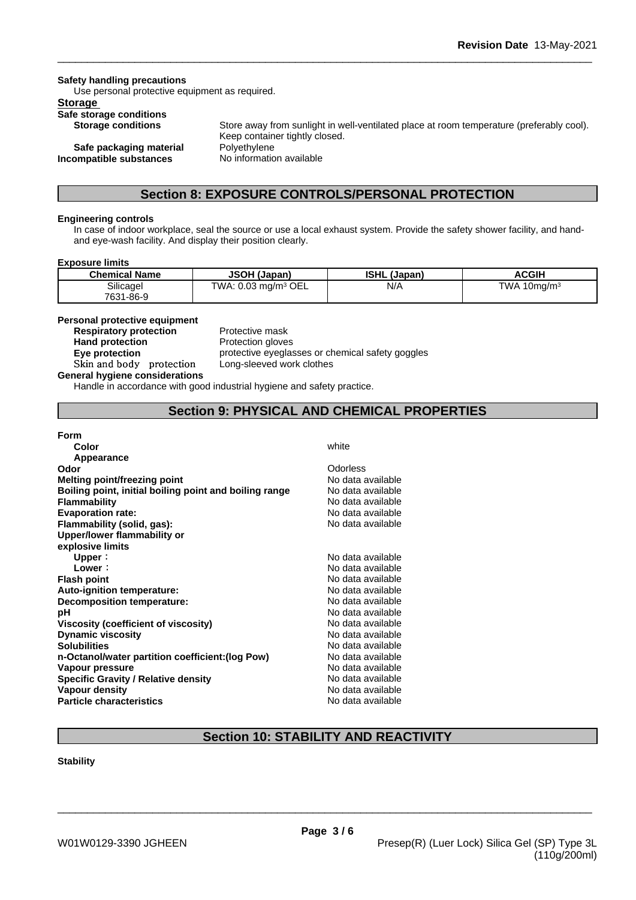**Safety handling precautions**

Use personal protective equipment as required.

# **Storage**

**Safe storage conditions**

**Safe packaging material Polyethylene Incompatible substances** No information available

**Storage conditions** Store away from sunlight in well-ventilated place at room temperature (preferably cool). Keep container tightly closed.

# **Section 8: EXPOSURE CONTROLS/PERSONAL PROTECTION**

# **Engineering controls**

In case of indoor workplace, seal the source or use a local exhaust system. Provide the safety shower facility, and handand eye-wash facility. And display their position clearly.

### **Exposure limits**

| <b>Chemical Name</b>   | <b>JSOH (Japan)</b>             | <b>ISHL (Japan)</b> | ACGIH                       |
|------------------------|---------------------------------|---------------------|-----------------------------|
| Silicagel<br>7631-86-9 | TWA: 0.03 mg/m <sup>3</sup> OEL | N/A                 | <b>TWA</b><br>$10$ ma/m $3$ |

## **Personal protective equipment**

**Respiratory protection** Protective mask<br> **Hand protection**<br>
Protection dlove **Skinandbody protection** Long-sleeved work clothes

**Protection gloves Eye protection Exercise protective eyeglasses or chemical safety goggles** 

**General hygiene considerations**

Handle in accordance with good industrial hygiene and safety practice.

# **Section 9: PHYSICAL AND CHEMICAL PROPERTIES**

# **Form**

| white             |
|-------------------|
|                   |
| Odorless          |
| No data available |
| No data available |
| No data available |
| No data available |
| No data available |
|                   |
|                   |
| No data available |
| No data available |
| No data available |
| No data available |
| No data available |
| No data available |
| No data available |
| No data available |
| No data available |
| No data available |
| No data available |
| No data available |
| No data available |
| No data available |
|                   |

# **Section 10: STABILITY AND REACTIVITY**

### **Stability**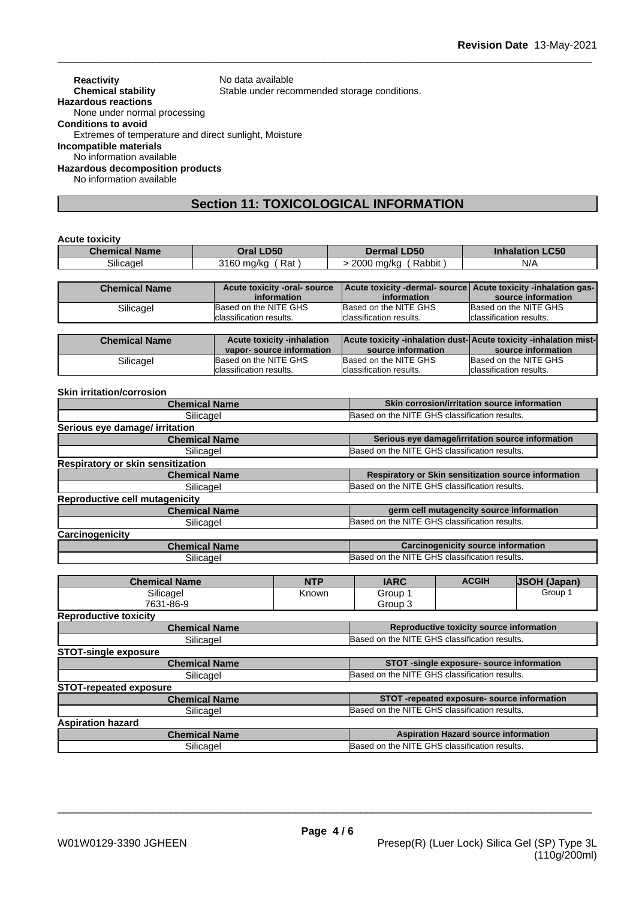**Reactivity** No data available<br> **Chemical stability** Stable under reco Stable under recommended storage conditions. **Hazardous reactions** None under normal processing **Conditions to avoid** Extremes of temperature and direct sunlight, Moisture **Incompatible materials** No information available **Hazardous decomposition products**

No information available

# **Section 11: TOXICOLOGICAL INFORMATION**

### **Acute toxicity**

| $\sim$ $\sim$ $\sim$<br>ำRat ,<br>Rabbit<br>N/A<br>3160 mg/kg<br>2000<br>ma/ka ע<br>Silicagel | <b>Chemical Name</b> | <b>D50</b><br>Dral | <b>LD50</b><br>Dermal | <b>_C50</b><br><b>Inhalation</b> |
|-----------------------------------------------------------------------------------------------|----------------------|--------------------|-----------------------|----------------------------------|
|                                                                                               |                      |                    |                       |                                  |

| <b>Chemical Name</b> | Acute toxicity -oral- source | Acute toxicity -dermal- source Acute toxicity -inhalation gas- |                          |
|----------------------|------------------------------|----------------------------------------------------------------|--------------------------|
|                      | information                  | information                                                    | source information       |
| Silicagel            | Based on the NITE GHS        | Based on the NITE GHS                                          | Based on the NITE GHS    |
|                      | classification results.      | Iclassification results.                                       | Iclassification results. |

| <b>Chemical Name</b> | <b>Acute toxicity -inhalation</b> | <b>Acute toxicity -inhalation dust-Acute toxicity -inhalation mist-</b> |                          |
|----------------------|-----------------------------------|-------------------------------------------------------------------------|--------------------------|
|                      | vapor-source information          | source information                                                      | source information       |
| Silicagel            | Based on the NITE GHS             | Based on the NITE GHS                                                   | Based on the NITE GHS    |
|                      | Iclassification results.          | Iclassification results.                                                | Iclassification results. |

### **Skin irritation/corrosion**

| <b>Chemical Name</b>                     |  |                                               | Skin corrosion/irritation source information     |                                                      |
|------------------------------------------|--|-----------------------------------------------|--------------------------------------------------|------------------------------------------------------|
| Silicagel                                |  | Based on the NITE GHS classification results. |                                                  |                                                      |
| Serious eye damage/ irritation           |  |                                               |                                                  |                                                      |
| <b>Chemical Name</b>                     |  |                                               | Serious eye damage/irritation source information |                                                      |
| Silicagel                                |  | Based on the NITE GHS classification results. |                                                  |                                                      |
| <b>Respiratory or skin sensitization</b> |  |                                               |                                                  |                                                      |
| <b>Chemical Name</b>                     |  |                                               |                                                  | Respiratory or Skin sensitization source information |
| Silicagel                                |  | Based on the NITE GHS classification results. |                                                  |                                                      |
| Reproductive cell mutagenicity           |  |                                               |                                                  |                                                      |
| <b>Chemical Name</b>                     |  |                                               | germ cell mutagencity source information         |                                                      |
| Silicagel                                |  | Based on the NITE GHS classification results. |                                                  |                                                      |
| Carcinogenicity                          |  |                                               |                                                  |                                                      |
| <b>Chemical Name</b>                     |  |                                               | <b>Carcinogenicity source information</b>        |                                                      |
| Silicagel                                |  | Based on the NITE GHS classification results. |                                                  |                                                      |
|                                          |  |                                               |                                                  |                                                      |
| <b>Chemical Name</b><br><b>NTP</b>       |  | <b>IARC</b>                                   | <b>ACGIH</b>                                     | <b>JSOH (Japan)</b>                                  |
| Silicagel<br>Known                       |  | Group 1                                       |                                                  | Group 1                                              |
| 7631-86-9                                |  |                                               |                                                  |                                                      |
|                                          |  | Group 3                                       |                                                  |                                                      |
| <b>Reproductive toxicity</b>             |  |                                               |                                                  |                                                      |
| <b>Chemical Name</b>                     |  |                                               | Reproductive toxicity source information         |                                                      |
| Silicagel                                |  | Based on the NITE GHS classification results. |                                                  |                                                      |
| <b>STOT-single exposure</b>              |  |                                               |                                                  |                                                      |
| <b>Chemical Name</b>                     |  |                                               | STOT -single exposure- source information        |                                                      |
| Silicagel                                |  | Based on the NITE GHS classification results. |                                                  |                                                      |
| <b>STOT-repeated exposure</b>            |  |                                               |                                                  |                                                      |
| <b>Chemical Name</b>                     |  |                                               | STOT-repeated exposure- source information       |                                                      |
| Silicagel                                |  | Based on the NITE GHS classification results. |                                                  |                                                      |
| <b>Aspiration hazard</b>                 |  |                                               |                                                  |                                                      |
| <b>Chemical Name</b><br>Silicagel        |  | Based on the NITE GHS classification results. | <b>Aspiration Hazard source information</b>      |                                                      |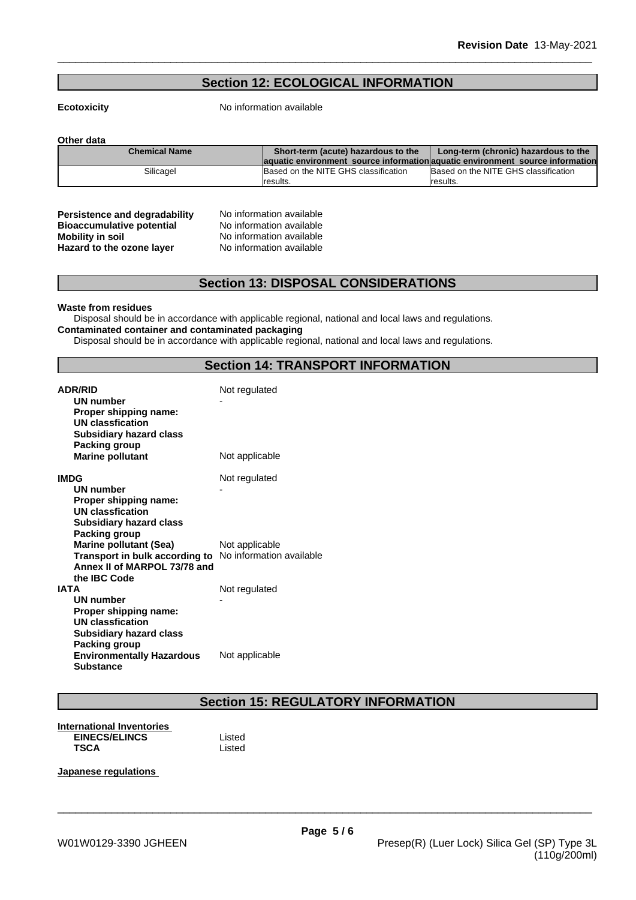# **Section 12: ECOLOGICAL INFORMATION**

**Ecotoxicity** No information available

**Other data**

| <b>Chemical Name</b> | Short-term (acute) hazardous to the  | Long-term (chronic) hazardous to the                                           |  |
|----------------------|--------------------------------------|--------------------------------------------------------------------------------|--|
|                      |                                      | laquatic environment source information aquatic environment source information |  |
| Silicagel            | Based on the NITE GHS classification | Based on the NITE GHS classification                                           |  |
|                      | Iresults.                            | Iresults.                                                                      |  |

| <b>Persistence and degradability</b> |
|--------------------------------------|
| <b>Bioaccumulative potential</b>     |
| <b>Mobility in soil</b>              |
| Hazard to the ozone layer            |

**No information available No information available Mobility in soil** No information available **Hazard to the ozone layer** No information available

# **Section 13: DISPOSAL CONSIDERATIONS**

#### **Waste from residues**

Disposal should be in accordance with applicable regional, national and local laws and regulations. **Contaminated container and contaminated packaging**

Disposal should be in accordance with applicable regional, national and local laws and regulations.

# **Section 14: TRANSPORT INFORMATION**

| <b>ADR/RID</b><br>UN number<br>Proper shipping name:<br>UN classfication<br><b>Subsidiary hazard class</b><br>Packing group              | Not regulated  |
|------------------------------------------------------------------------------------------------------------------------------------------|----------------|
| <b>Marine pollutant</b>                                                                                                                  | Not applicable |
| <b>IMDG</b>                                                                                                                              | Not regulated  |
| UN number<br>Proper shipping name:<br><b>UN classfication</b><br><b>Subsidiary hazard class</b><br><b>Packing group</b>                  |                |
| <b>Marine pollutant (Sea)</b><br>Transport in bulk according to No information available<br>Annex II of MARPOL 73/78 and<br>the IBC Code | Not applicable |
| <b>IATA</b><br><b>UN number</b>                                                                                                          | Not regulated  |
| Proper shipping name:<br>UN classfication<br><b>Subsidiary hazard class</b>                                                              |                |
| Packing group<br><b>Environmentally Hazardous</b><br><b>Substance</b>                                                                    | Not applicable |

# **Section 15: REGULATORY INFORMATION**

**International Inventories** EINECS/ELINCS<br>
TSCA Listed<br>
Listed **TSCA** Listed

**Japanese regulations**